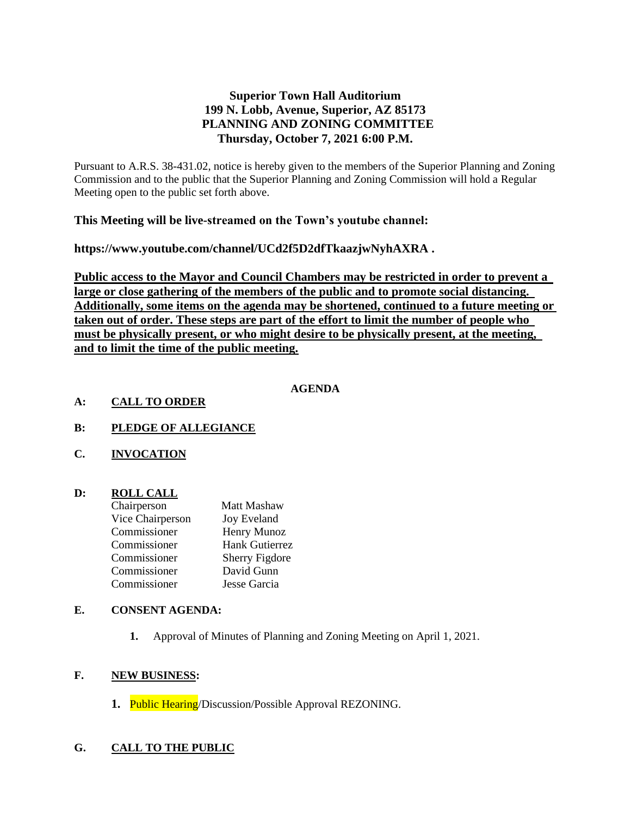# **Superior Town Hall Auditorium 199 N. Lobb, Avenue, Superior, AZ 85173 PLANNING AND ZONING COMMITTEE Thursday, October 7, 2021 6:00 P.M.**

Pursuant to A.R.S. 38-431.02, notice is hereby given to the members of the Superior Planning and Zoning Commission and to the public that the Superior Planning and Zoning Commission will hold a Regular Meeting open to the public set forth above.

## **This Meeting will be live-streamed on the Town's youtube channel:**

**https://www.youtube.com/channel/UCd2f5D2dfTkaazjwNyhAXRA .** 

**Public access to the Mayor and Council Chambers may be restricted in order to prevent a large or close gathering of the members of the public and to promote social distancing. Additionally, some items on the agenda may be shortened, continued to a future meeting or taken out of order. These steps are part of the effort to limit the number of people who must be physically present, or who might desire to be physically present, at the meeting, and to limit the time of the public meeting.**

### **AGENDA**

#### **A: CALL TO ORDER**

# **B: PLEDGE OF ALLEGIANCE**

**C. INVOCATION**

### **D: ROLL CALL**

| <b>Matt Mashaw</b>    |
|-----------------------|
| <b>Joy Eveland</b>    |
| Henry Munoz           |
| <b>Hank Gutierrez</b> |
| <b>Sherry Figdore</b> |
| David Gunn            |
| Jesse Garcia          |
|                       |

### **E. CONSENT AGENDA:**

**1.** Approval of Minutes of Planning and Zoning Meeting on April 1, 2021.

### **F. NEW BUSINESS:**

**1.** Public Hearing/Discussion/Possible Approval REZONING.

# **G. CALL TO THE PUBLIC**